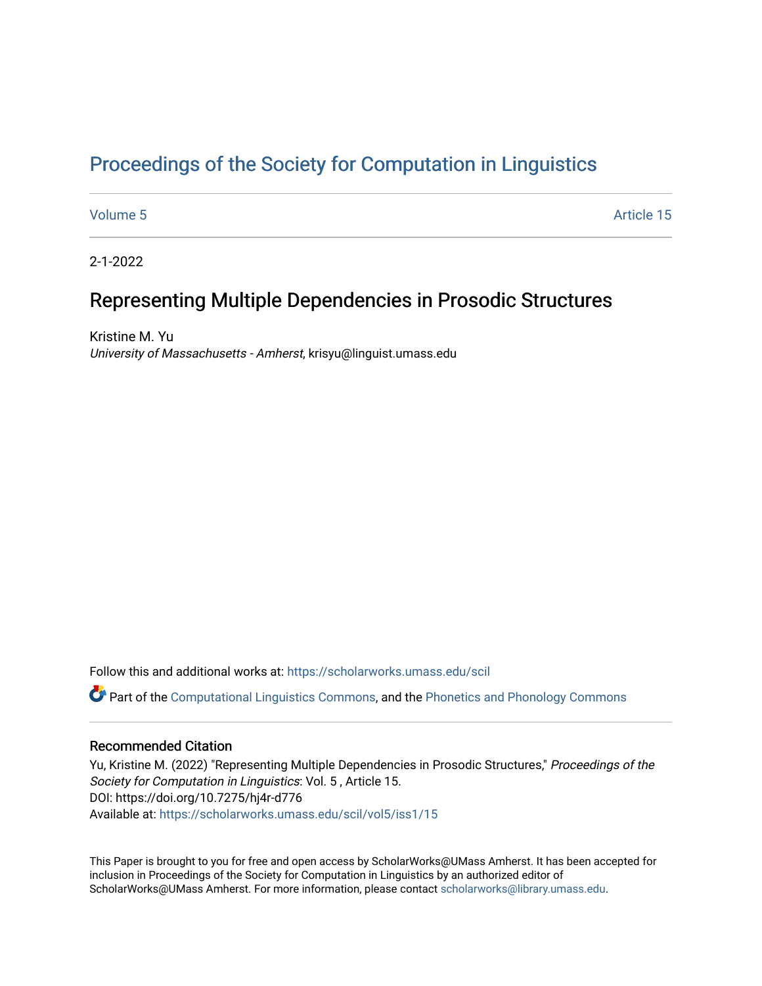# [Proceedings of the Society for Computation in Linguistics](https://scholarworks.umass.edu/scil)

[Volume 5](https://scholarworks.umass.edu/scil/vol5) Article 15

2-1-2022

# Representing Multiple Dependencies in Prosodic Structures

Kristine M. Yu University of Massachusetts - Amherst, krisyu@linguist.umass.edu

Follow this and additional works at: [https://scholarworks.umass.edu/scil](https://scholarworks.umass.edu/scil?utm_source=scholarworks.umass.edu%2Fscil%2Fvol5%2Fiss1%2F15&utm_medium=PDF&utm_campaign=PDFCoverPages) Part of the [Computational Linguistics Commons](http://network.bepress.com/hgg/discipline/375?utm_source=scholarworks.umass.edu%2Fscil%2Fvol5%2Fiss1%2F15&utm_medium=PDF&utm_campaign=PDFCoverPages), and the [Phonetics and Phonology Commons](http://network.bepress.com/hgg/discipline/381?utm_source=scholarworks.umass.edu%2Fscil%2Fvol5%2Fiss1%2F15&utm_medium=PDF&utm_campaign=PDFCoverPages) 

## Recommended Citation

Yu, Kristine M. (2022) "Representing Multiple Dependencies in Prosodic Structures," Proceedings of the Society for Computation in Linguistics: Vol. 5 , Article 15. DOI: https://doi.org/10.7275/hj4r-d776 Available at: [https://scholarworks.umass.edu/scil/vol5/iss1/15](https://scholarworks.umass.edu/scil/vol5/iss1/15?utm_source=scholarworks.umass.edu%2Fscil%2Fvol5%2Fiss1%2F15&utm_medium=PDF&utm_campaign=PDFCoverPages) 

This Paper is brought to you for free and open access by ScholarWorks@UMass Amherst. It has been accepted for inclusion in Proceedings of the Society for Computation in Linguistics by an authorized editor of ScholarWorks@UMass Amherst. For more information, please contact [scholarworks@library.umass.edu.](mailto:scholarworks@library.umass.edu)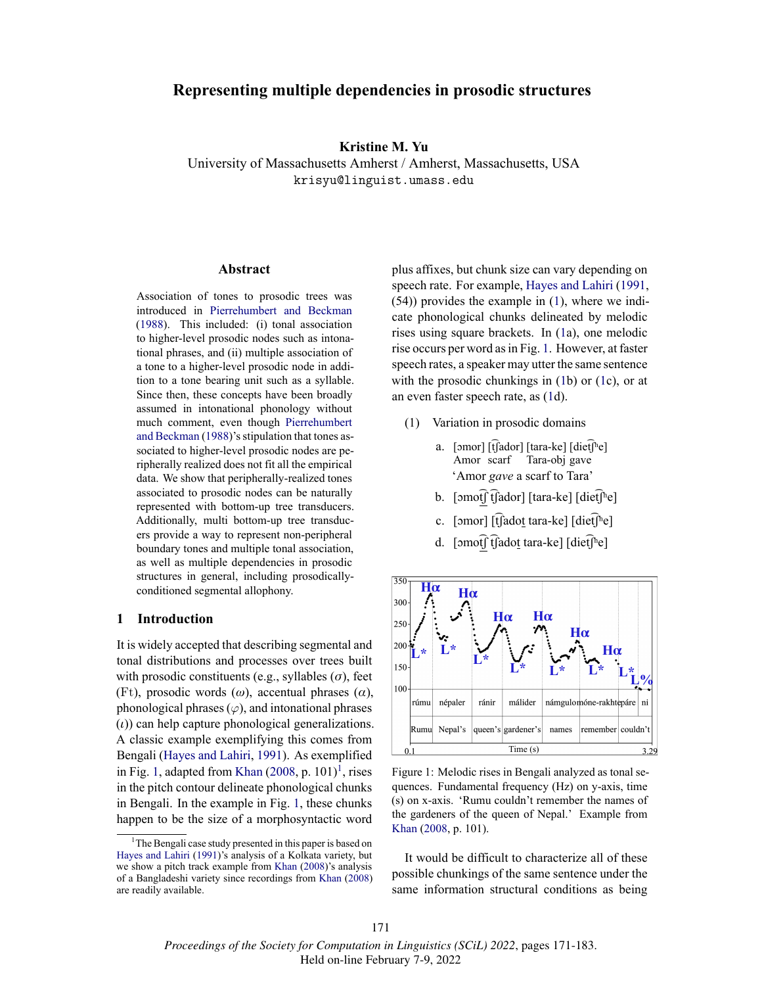# **Representing multiple dependencies in prosodic structures**

### **Kristine M. Yu**

University of Massachusetts Amherst / Amherst, Massachusetts, USA krisyu@linguist.umass.edu

#### **Abstract**

Association of tones to prosodic trees was introduced in Pierrehumbert and Beckman (1988). This included: (i) tonal association to higher-level prosodic nodes such as intonational phrases, and (ii) multiple association of a tone to a higher-level prosodic node in addition to a tone bearing unit such as a syllable. Since then, these concepts have been broadly assumed in intonational phonology without much comment, even though Pierrehumbert and Beckman (1988)'s stipulation that tones associated to higher-level prosodic nodes are peripherally realized does not fit all the empirical data. We show that peripherally-realized tones associated to prosodic nodes can be naturally represented with bottom-up tree transducers. Additionally, multi bottom-up tree transducers provide a way to represent non-peripheral boundary tones and multiple tonal association, as well as multiple dependencies in prosodic structures in general, including prosodicallyconditioned segmental allophony.

### **1 Introduction**

It is widely accepted that describing segmental and tonal distributions and processes over trees built with prosodic constituents (e.g., syllables (*σ*), feet (Ft), prosodic words (*ω*), accentual phrases (*α*), phonological phrases  $(\varphi)$ , and intonational phrases (*ι*)) can help capture phonological generalizations. A classic example exemplifying this comes from Bengali (Hayes and Lahiri, 1991). As exemplified in Fig. 1, adapted from Khan  $(2008, p. 101)^1$ , rises in the pitch contour delineate phonological chunks in Bengali. In the example in Fig. 1, these chunks happen to be the size of a morphosyntactic word

plus affixes, but chunk size can vary depending on speech rate. For example, Hayes and Lahiri (1991, (54)) provides the example in (1), where we indicate phonological chunks delineated by melodic rises using square brackets. In (1a), one melodic rise occurs per word as in Fig. 1. However, at faster speech rates, a speaker may utter the same sentence with the prosodic chunkings in  $(1b)$  or  $(1c)$ , or at an even faster speech rate, as (1d).

- (1) Variation in prosodic domains
	- a. [ɔmor] [t͡ʃador] [tara-ke] [diet͡ʃʰe] Amor scarf Tara-obj gave 'Amor *gave* a scarf to Tara'
	- b.  $\lceil \text{omof} \rceil$  [fador]  $\lceil \text{tara-ke} \rceil$  [diet $\lceil \rceil$ <sup>h</sup>e]
	- c.  $\lceil$ omor $\rceil$  [t͡ʃadot tara-ke]  $\lceil$ diet͡ $\lceil$ <sup>h</sup>e]
	- d.  $\lceil \text{omof} \rceil$  fadot tara-ke]  $\lceil \text{dieffhe} \rceil$



Figure 1: Melodic rises in Bengali analyzed as tonal sequences. Fundamental frequency (Hz) on y-axis, time (s) on x-axis. 'Rumu couldn't remember the names of the gardeners of the queen of Nepal.' Example from Khan (2008, p. 101).

It would be difficult to characterize all of these possible chunkings of the same sentence under the same information structural conditions as being

<sup>&</sup>lt;sup>1</sup>The Bengali case study presented in this paper is based on Hayes and Lahiri (1991)'s analysis of a Kolkata variety, but we show a pitch track example from Khan (2008)'s analysis of a Bangladeshi variety since recordings from Khan (2008) are readily available.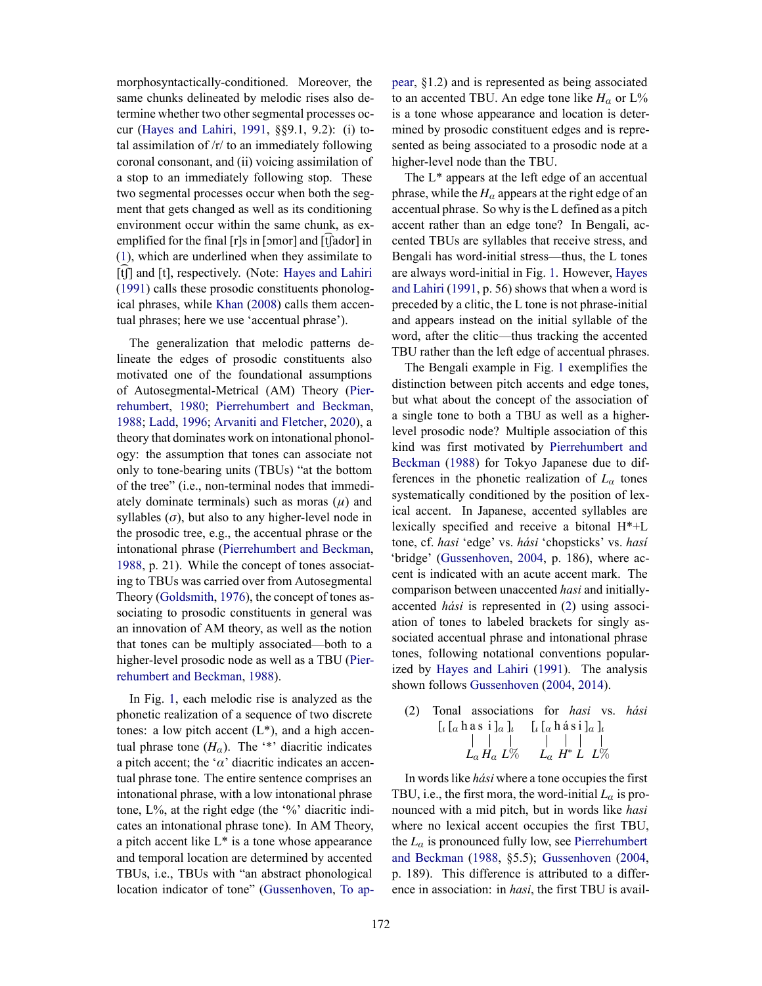morphosyntactically-conditioned. Moreover, the same chunks delineated by melodic rises also determine whether two other segmental processes occur (Hayes and Lahiri, 1991, §§9.1, 9.2): (i) total assimilation of  $/r$  to an immediately following coronal consonant, and (ii) voicing assimilation of a stop to an immediately following stop. These two segmental processes occur when both the segment that gets changed as well as its conditioning environment occur within the same chunk, as exemplified for the final  $[r]s$  in  $[omor]$  and  $[\hat{t}]$  ador  $]$  in (1), which are underlined when they assimilate to [t][] and [t], respectively. (Note: Hayes and Lahiri (1991) calls these prosodic constituents phonological phrases, while Khan (2008) calls them accentual phrases; here we use 'accentual phrase').

The generalization that melodic patterns delineate the edges of prosodic constituents also motivated one of the foundational assumptions of Autosegmental-Metrical (AM) Theory (Pierrehumbert, 1980; Pierrehumbert and Beckman, 1988; Ladd, 1996; Arvaniti and Fletcher, 2020), a theory that dominates work on intonational phonology: the assumption that tones can associate not only to tone-bearing units (TBUs) "at the bottom of the tree" (i.e., non-terminal nodes that immediately dominate terminals) such as moras (*μ*) and syllables  $(\sigma)$ , but also to any higher-level node in the prosodic tree, e.g., the accentual phrase or the intonational phrase (Pierrehumbert and Beckman, 1988, p. 21). While the concept of tones associating to TBUs was carried over from Autosegmental Theory (Goldsmith, 1976), the concept of tones associating to prosodic constituents in general was an innovation of AM theory, as well as the notion that tones can be multiply associated—both to a higher-level prosodic node as well as a TBU (Pierrehumbert and Beckman, 1988).

In Fig. 1, each melodic rise is analyzed as the phonetic realization of a sequence of two discrete tones: a low pitch accent  $(L^*)$ , and a high accentual phrase tone  $(H_{\alpha})$ . The '\*' diacritic indicates a pitch accent; the '*α*' diacritic indicates an accentual phrase tone. The entire sentence comprises an intonational phrase, with a low intonational phrase tone,  $L\%$ , at the right edge (the  $\%$ ' diacritic indicates an intonational phrase tone). In AM Theory, a pitch accent like L\* is a tone whose appearance and temporal location are determined by accented TBUs, i.e., TBUs with "an abstract phonological location indicator of tone" (Gussenhoven, To appear, §1.2) and is represented as being associated to an accented TBU. An edge tone like  $H_\alpha$  or  $L\%$ is a tone whose appearance and location is determined by prosodic constituent edges and is represented as being associated to a prosodic node at a higher-level node than the TBU.

The L\* appears at the left edge of an accentual phrase, while the  $H_a$  appears at the right edge of an accentual phrase. So why is the L defined as a pitch accent rather than an edge tone? In Bengali, accented TBUs are syllables that receive stress, and Bengali has word-initial stress—thus, the L tones are always word-initial in Fig. 1. However, Hayes and Lahiri (1991, p. 56) shows that when a word is preceded by a clitic, the L tone is not phrase-initial and appears instead on the initial syllable of the word, after the clitic—thus tracking the accented TBU rather than the left edge of accentual phrases.

The Bengali example in Fig. 1 exemplifies the distinction between pitch accents and edge tones, but what about the concept of the association of a single tone to both a TBU as well as a higherlevel prosodic node? Multiple association of this kind was first motivated by Pierrehumbert and Beckman (1988) for Tokyo Japanese due to differences in the phonetic realization of  $L_\alpha$  tones systematically conditioned by the position of lexical accent. In Japanese, accented syllables are lexically specified and receive a bitonal H\*+L tone, cf. *hasi* 'edge' vs. *hási* 'chopsticks' vs. *hasí* 'bridge' (Gussenhoven, 2004, p. 186), where accent is indicated with an acute accent mark. The comparison between unaccented *hasi* and initiallyaccented *hási* is represented in (2) using association of tones to labeled brackets for singly associated accentual phrase and intonational phrase tones, following notational conventions popularized by Hayes and Lahiri (1991). The analysis shown follows Gussenhoven (2004, 2014).

(2) Tonal associations for *hasi* vs. *hási* [*<sup>ι</sup>* [*<sup>α</sup>* h a *Lα* s i *H<sup>α</sup>* ]*<sup>α</sup>* ]*<sup>ι</sup> L*% [*<sup>ι</sup>* [*<sup>α</sup> Lα* h á *H* ∗ si *L* ]*<sup>α</sup>* ]*<sup>ι</sup> L*%

In words like *hási* where a tone occupies the first TBU, i.e., the first mora, the word-initial  $L_{\alpha}$  is pronounced with a mid pitch, but in words like *hasi* where no lexical accent occupies the first TBU, the  $L_{\alpha}$  is pronounced fully low, see Pierrehumbert and Beckman (1988, §5.5); Gussenhoven (2004, p. 189). This difference is attributed to a difference in association: in *hasi*, the first TBU is avail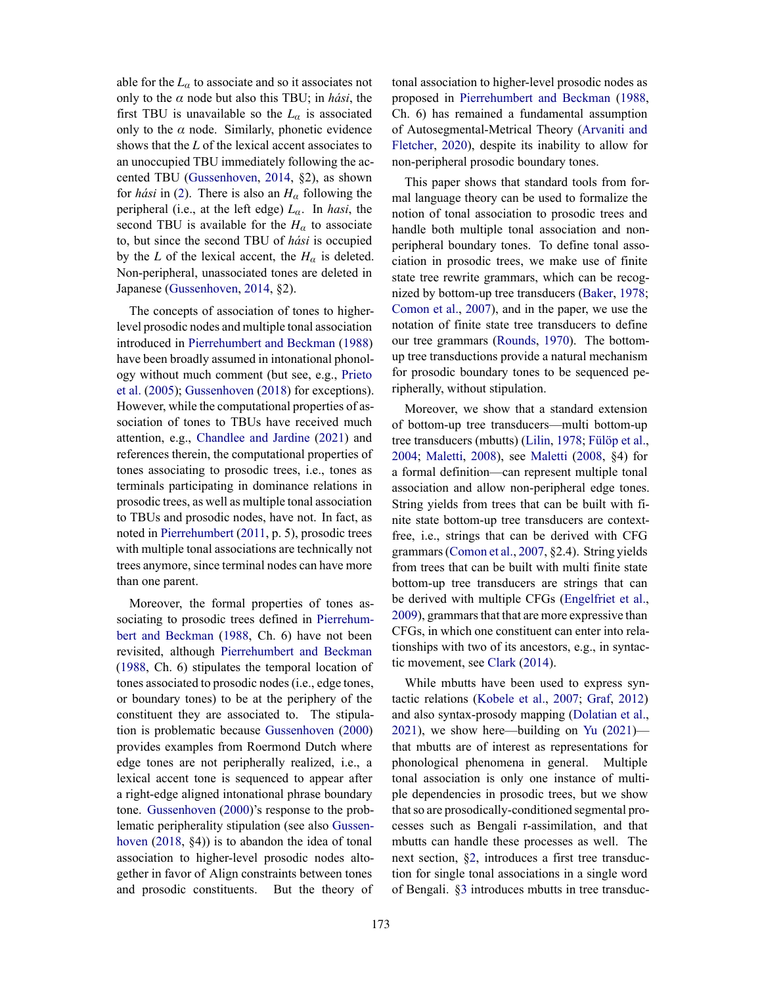able for the  $L_{\alpha}$  to associate and so it associates not only to the *α* node but also this TBU; in *hási*, the first TBU is unavailable so the  $L_{\alpha}$  is associated only to the  $\alpha$  node. Similarly, phonetic evidence shows that the *L* of the lexical accent associates to an unoccupied TBU immediately following the accented TBU (Gussenhoven, 2014, §2), as shown for *hási* in (2). There is also an *H<sup>α</sup>* following the peripheral (i.e., at the left edge) *Lα*. In *hasi*, the second TBU is available for the  $H_\alpha$  to associate to, but since the second TBU of *hási* is occupied by the *L* of the lexical accent, the  $H_\alpha$  is deleted. Non-peripheral, unassociated tones are deleted in Japanese (Gussenhoven, 2014, §2).

The concepts of association of tones to higherlevel prosodic nodes and multiple tonal association introduced in Pierrehumbert and Beckman (1988) have been broadly assumed in intonational phonology without much comment (but see, e.g., Prieto et al. (2005); Gussenhoven (2018) for exceptions). However, while the computational properties of association of tones to TBUs have received much attention, e.g., Chandlee and Jardine (2021) and references therein, the computational properties of tones associating to prosodic trees, i.e., tones as terminals participating in dominance relations in prosodic trees, as well as multiple tonal association to TBUs and prosodic nodes, have not. In fact, as noted in Pierrehumbert (2011, p. 5), prosodic trees with multiple tonal associations are technically not trees anymore, since terminal nodes can have more than one parent.

Moreover, the formal properties of tones associating to prosodic trees defined in Pierrehumbert and Beckman (1988, Ch. 6) have not been revisited, although Pierrehumbert and Beckman (1988, Ch. 6) stipulates the temporal location of tones associated to prosodic nodes (i.e., edge tones, or boundary tones) to be at the periphery of the constituent they are associated to. The stipulation is problematic because Gussenhoven (2000) provides examples from Roermond Dutch where edge tones are not peripherally realized, i.e., a lexical accent tone is sequenced to appear after a right-edge aligned intonational phrase boundary tone. Gussenhoven (2000)'s response to the problematic peripherality stipulation (see also Gussenhoven (2018, §4)) is to abandon the idea of tonal association to higher-level prosodic nodes altogether in favor of Align constraints between tones and prosodic constituents. But the theory of tonal association to higher-level prosodic nodes as proposed in Pierrehumbert and Beckman (1988, Ch. 6) has remained a fundamental assumption of Autosegmental-Metrical Theory (Arvaniti and Fletcher, 2020), despite its inability to allow for non-peripheral prosodic boundary tones.

This paper shows that standard tools from formal language theory can be used to formalize the notion of tonal association to prosodic trees and handle both multiple tonal association and nonperipheral boundary tones. To define tonal association in prosodic trees, we make use of finite state tree rewrite grammars, which can be recognized by bottom-up tree transducers (Baker, 1978; Comon et al., 2007), and in the paper, we use the notation of finite state tree transducers to define our tree grammars (Rounds, 1970). The bottomup tree transductions provide a natural mechanism for prosodic boundary tones to be sequenced peripherally, without stipulation.

Moreover, we show that a standard extension of bottom-up tree transducers—multi bottom-up tree transducers (mbutts) (Lilin, 1978; Fülöp et al., 2004; Maletti, 2008), see Maletti (2008, §4) for a formal definition—can represent multiple tonal association and allow non-peripheral edge tones. String yields from trees that can be built with finite state bottom-up tree transducers are contextfree, i.e., strings that can be derived with CFG grammars (Comon et al., 2007, §2.4). String yields from trees that can be built with multi finite state bottom-up tree transducers are strings that can be derived with multiple CFGs (Engelfriet et al., 2009), grammars that that are more expressive than CFGs, in which one constituent can enter into relationships with two of its ancestors, e.g., in syntactic movement, see Clark (2014).

While mbutts have been used to express syntactic relations (Kobele et al., 2007; Graf, 2012) and also syntax-prosody mapping (Dolatian et al., 2021), we show here—building on Yu (2021) that mbutts are of interest as representations for phonological phenomena in general. Multiple tonal association is only one instance of multiple dependencies in prosodic trees, but we show that so are prosodically-conditioned segmental processes such as Bengali r-assimilation, and that mbutts can handle these processes as well. The next section, §2, introduces a first tree transduction for single tonal associations in a single word of Bengali. §3 introduces mbutts in tree transduc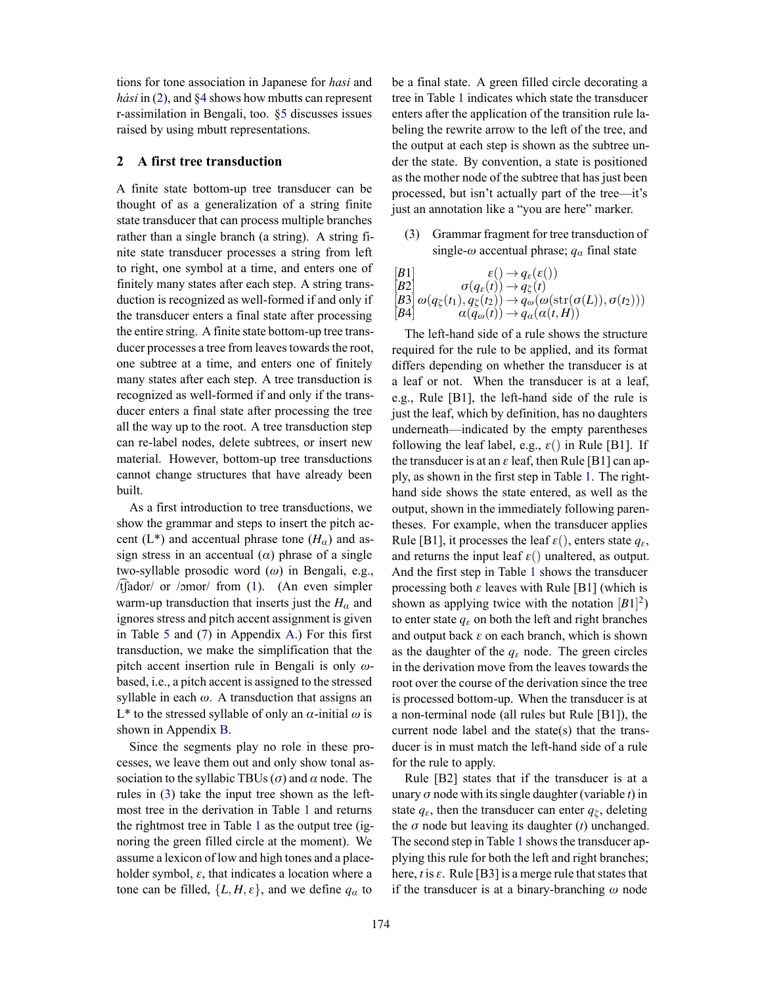tions for tone association in Japanese for *hasi* and *hási* in (2), and §4 shows how mbutts can represent r-assimilation in Bengali, too. §5 discusses issues raised by using mbutt representations.

#### **2 A first tree transduction**

A finite state bottom-up tree transducer can be thought of as a generalization of a string finite state transducer that can process multiple branches rather than a single branch (a string). A string finite state transducer processes a string from left to right, one symbol at a time, and enters one of finitely many states after each step. A string transduction is recognized as well-formed if and only if the transducer enters a final state after processing the entire string. A finite state bottom-up tree transducer processes a tree from leaves towards the root, one subtree at a time, and enters one of finitely many states after each step. A tree transduction is recognized as well-formed if and only if the transducer enters a final state after processing the tree all the way up to the root. A tree transduction step can re-label nodes, delete subtrees, or insert new material. However, bottom-up tree transductions cannot change structures that have already been built.

As a first introduction to tree transductions, we show the grammar and steps to insert the pitch accent (L<sup>\*</sup>) and accentual phrase tone ( $H_\alpha$ ) and assign stress in an accentual  $(\alpha)$  phrase of a single two-syllable prosodic word (*ω*) in Bengali, e.g.,  $/t$  $\int$ ador/ or /ɔmor/ from (1). (An even simpler warm-up transduction that inserts just the  $H_\alpha$  and ignores stress and pitch accent assignment is given in Table 5 and (7) in Appendix A.) For this first transduction, we make the simplification that the pitch accent insertion rule in Bengali is only *ω*based, i.e., a pitch accent is assigned to the stressed syllable in each  $\omega$ . A transduction that assigns an L\* to the stressed syllable of only an *α*-initial *ω* is shown in Appendix B.

Since the segments play no role in these processes, we leave them out and only show tonal association to the syllabic TBUs (*σ*) and *α* node. The rules in (3) take the input tree shown as the leftmost tree in the derivation in Table 1 and returns the rightmost tree in Table 1 as the output tree (ignoring the green filled circle at the moment). We assume a lexicon of low and high tones and a placeholder symbol, *ε*, that indicates a location where a tone can be filled,  $\{L, H, \varepsilon\}$ , and we define  $q_\alpha$  to

be a final state. A green filled circle decorating a tree in Table 1 indicates which state the transducer enters after the application of the transition rule labeling the rewrite arrow to the left of the tree, and the output at each step is shown as the subtree under the state. By convention, a state is positioned as the mother node of the subtree that has just been processed, but isn't actually part of the tree—it's just an annotation like a "you are here" marker.

(3) Grammar fragment for tree transduction of single- $\omega$  accentual phrase;  $q_\alpha$  final state

$$
\begin{array}{ll}\n[B1] & \varepsilon() \to q_{\varepsilon}(\varepsilon()) \\
[B2] & \sigma(q_{\varepsilon}(t)) \to q_{\zeta}(t) \\
[B3] & \omega(q_{\zeta}(t_1), q_{\zeta}(t_2)) \to q_{\omega}(\omega(\text{str}(\sigma(L)), \sigma(t_2))) \\
[B4] & \alpha(q_{\omega}(t)) \to q_{\alpha}(\alpha(t, H))\n\end{array}
$$

The left-hand side of a rule shows the structure required for the rule to be applied, and its format differs depending on whether the transducer is at a leaf or not. When the transducer is at a leaf, e.g., Rule [B1], the left-hand side of the rule is just the leaf, which by definition, has no daughters underneath—indicated by the empty parentheses following the leaf label, e.g.,  $\varepsilon()$  in Rule [B1]. If the transducer is at an  $\varepsilon$  leaf, then Rule [B1] can apply, as shown in the first step in Table 1. The righthand side shows the state entered, as well as the output, shown in the immediately following parentheses. For example, when the transducer applies Rule [B1], it processes the leaf  $\varepsilon$ (), enters state  $q_{\varepsilon}$ , and returns the input leaf  $\varepsilon$ () unaltered, as output. And the first step in Table 1 shows the transducer processing both *ε* leaves with Rule [B1] (which is shown as applying twice with the notation  $[B1]^2$ ) to enter state  $q_{\varepsilon}$  on both the left and right branches and output back *ε* on each branch, which is shown as the daughter of the  $q_\varepsilon$  node. The green circles in the derivation move from the leaves towards the root over the course of the derivation since the tree is processed bottom-up. When the transducer is at a non-terminal node (all rules but Rule [B1]), the current node label and the state(s) that the transducer is in must match the left-hand side of a rule for the rule to apply.

Rule [B2] states that if the transducer is at a unary *σ* node with its single daughter (variable *t*) in state  $q_{\varepsilon}$ , then the transducer can enter  $q_{\zeta}$ , deleting the  $\sigma$  node but leaving its daughter  $(t)$  unchanged. The second step in Table 1 shows the transducer applying this rule for both the left and right branches; here,  $t$  is  $\varepsilon$ . Rule [B3] is a merge rule that states that if the transducer is at a binary-branching *ω* node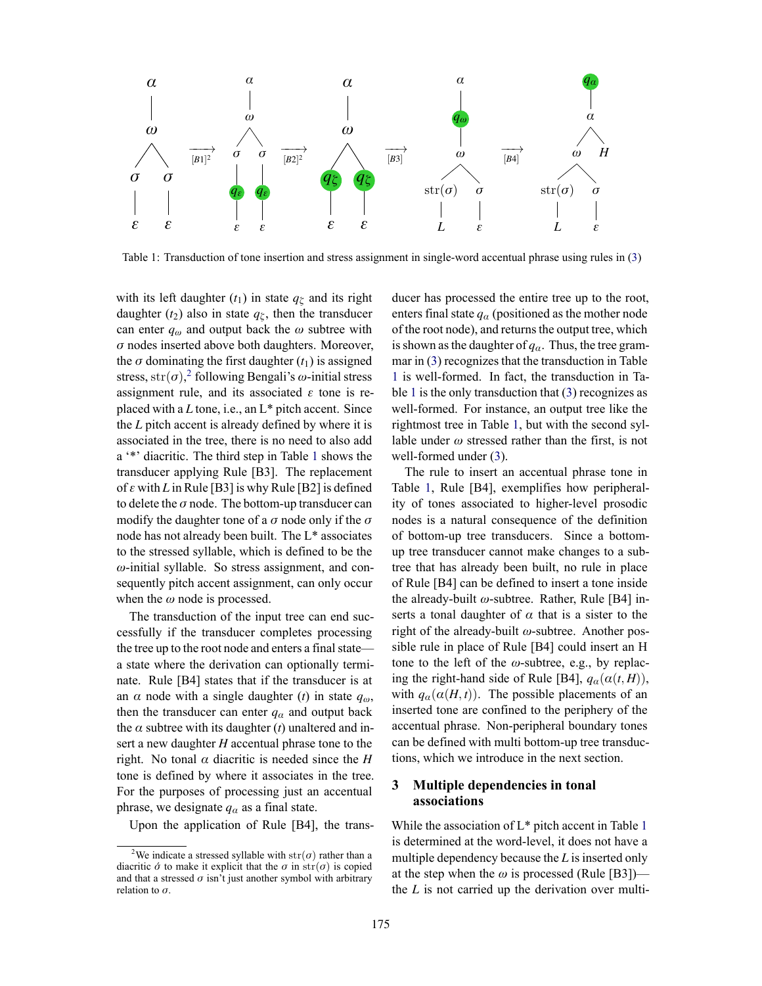

Table 1: Transduction of tone insertion and stress assignment in single-word accentual phrase using rules in (3)

with its left daughter  $(t_1)$  in state  $q_\zeta$  and its right daughter ( $t_2$ ) also in state  $q_\zeta$ , then the transducer can enter  $q_\omega$  and output back the  $\omega$  subtree with *σ* nodes inserted above both daughters. Moreover, the  $\sigma$  dominating the first daughter  $(t_1)$  is assigned stress, str(*σ*), 2 following Bengali's *ω*-initial stress assignment rule, and its associated *ε* tone is replaced with a *L* tone, i.e., an L\* pitch accent. Since the *L* pitch accent is already defined by where it is associated in the tree, there is no need to also add a '\*' diacritic. The third step in Table 1 shows the transducer applying Rule [B3]. The replacement of *ε* with *L* in Rule [B3] is why Rule [B2] is defined to delete the *σ* node. The bottom-up transducer can modify the daughter tone of a *σ* node only if the *σ* node has not already been built. The L\* associates to the stressed syllable, which is defined to be the *ω*-initial syllable. So stress assignment, and consequently pitch accent assignment, can only occur when the *ω* node is processed.

The transduction of the input tree can end successfully if the transducer completes processing the tree up to the root node and enters a final state a state where the derivation can optionally terminate. Rule [B4] states that if the transducer is at an  $\alpha$  node with a single daughter (*t*) in state  $q_{\omega}$ , then the transducer can enter  $q_\alpha$  and output back the  $\alpha$  subtree with its daughter (*t*) unaltered and insert a new daughter *H* accentual phrase tone to the right. No tonal  $\alpha$  diacritic is needed since the *H* tone is defined by where it associates in the tree. For the purposes of processing just an accentual phrase, we designate  $q_\alpha$  as a final state.

Upon the application of Rule [B4], the trans-

ducer has processed the entire tree up to the root, enters final state  $q_\alpha$  (positioned as the mother node of the root node), and returns the output tree, which is shown as the daughter of  $q_\alpha$ . Thus, the tree grammar in (3) recognizes that the transduction in Table 1 is well-formed. In fact, the transduction in Table 1 is the only transduction that (3) recognizes as well-formed. For instance, an output tree like the rightmost tree in Table 1, but with the second syllable under  $\omega$  stressed rather than the first, is not well-formed under (3).

The rule to insert an accentual phrase tone in Table 1, Rule [B4], exemplifies how peripherality of tones associated to higher-level prosodic nodes is a natural consequence of the definition of bottom-up tree transducers. Since a bottomup tree transducer cannot make changes to a subtree that has already been built, no rule in place of Rule [B4] can be defined to insert a tone inside the already-built *ω*-subtree. Rather, Rule [B4] inserts a tonal daughter of  $\alpha$  that is a sister to the right of the already-built *ω*-subtree. Another possible rule in place of Rule [B4] could insert an H tone to the left of the *ω*-subtree, e.g., by replacing the right-hand side of Rule [B4],  $q_\alpha(\alpha(t, H))$ , with  $q_\alpha(\alpha(H,t))$ . The possible placements of an inserted tone are confined to the periphery of the accentual phrase. Non-peripheral boundary tones can be defined with multi bottom-up tree transductions, which we introduce in the next section.

#### **3 Multiple dependencies in tonal associations**

While the association of L\* pitch accent in Table 1 is determined at the word-level, it does not have a multiple dependency because the *L* is inserted only at the step when the  $\omega$  is processed (Rule [B3]) the *L* is not carried up the derivation over multi-

<sup>&</sup>lt;sup>2</sup>We indicate a stressed syllable with  $str(\sigma)$  rather than a diacritic  $\acute{\sigma}$  to make it explicit that the  $\sigma$  in str( $\sigma$ ) is copied and that a stressed  $\sigma$  isn't just another symbol with arbitrary relation to *σ*.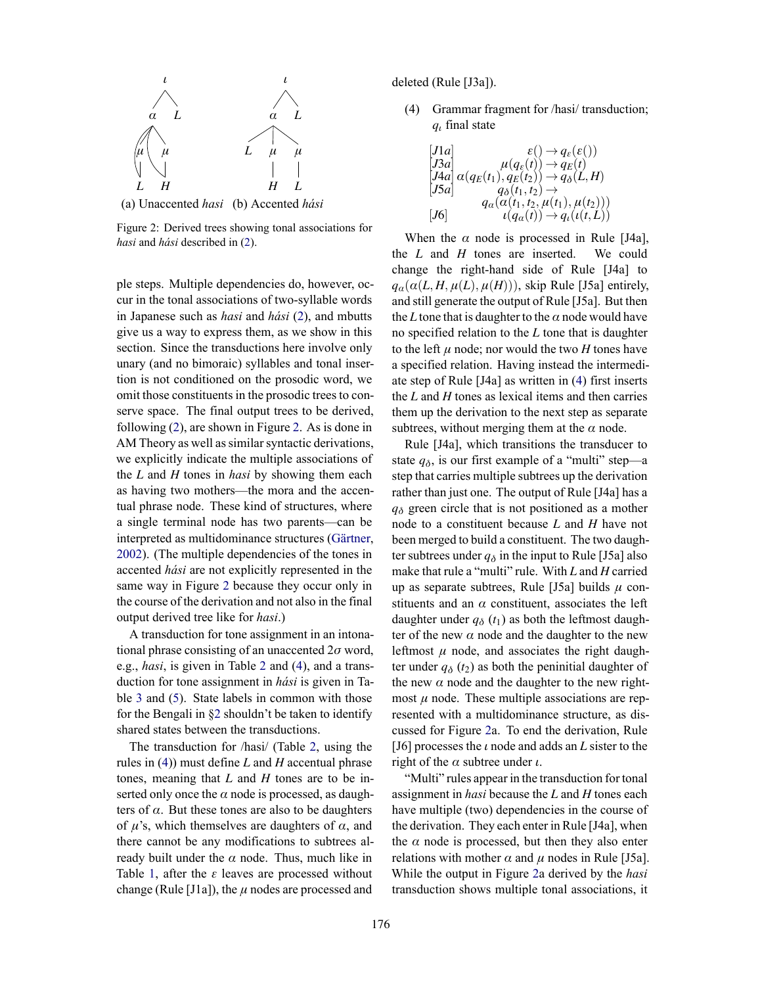

(a) Unaccented *hasi* (b) Accented *hási*

Figure 2: Derived trees showing tonal associations for *hasi* and *hási* described in (2).

ple steps. Multiple dependencies do, however, occur in the tonal associations of two-syllable words in Japanese such as *hasi* and *hási* (2), and mbutts give us a way to express them, as we show in this section. Since the transductions here involve only unary (and no bimoraic) syllables and tonal insertion is not conditioned on the prosodic word, we omit those constituents in the prosodic trees to conserve space. The final output trees to be derived, following (2), are shown in Figure 2. As is done in AM Theory as well as similar syntactic derivations, we explicitly indicate the multiple associations of the *L* and *H* tones in *hasi* by showing them each as having two mothers—the mora and the accentual phrase node. These kind of structures, where a single terminal node has two parents—can be interpreted as multidominance structures (Gärtner, 2002). (The multiple dependencies of the tones in accented *hási* are not explicitly represented in the same way in Figure 2 because they occur only in the course of the derivation and not also in the final output derived tree like for *hasi*.)

A transduction for tone assignment in an intonational phrase consisting of an unaccented 2*σ* word, e.g., *hasi*, is given in Table 2 and (4), and a transduction for tone assignment in *hási* is given in Table 3 and (5). State labels in common with those for the Bengali in §2 shouldn't be taken to identify shared states between the transductions.

The transduction for /hasi/ (Table 2, using the rules in (4)) must define *L* and *H* accentual phrase tones, meaning that *L* and *H* tones are to be inserted only once the  $\alpha$  node is processed, as daughters of  $\alpha$ . But these tones are also to be daughters of  $\mu$ 's, which themselves are daughters of  $\alpha$ , and there cannot be any modifications to subtrees already built under the  $\alpha$  node. Thus, much like in Table 1, after the *ε* leaves are processed without change (Rule [J1a]), the  $\mu$  nodes are processed and

deleted (Rule [J3a]).

(4) Grammar fragment for /hasi/ transduction; *q<sup>ι</sup>* final state

$$
\begin{array}{ll}\n[J1a] & \varepsilon() \rightarrow q_{\varepsilon}(\varepsilon()) \\
[J3a] & \mu(q_{\varepsilon}(t)) \rightarrow q_{E}(t) \\
[J4a] & \alpha(q_{E}(t_{1}), q_{E}(t_{2})) \rightarrow q_{\delta}(L, H) \\
[J5a] & q_{\delta}(t_{1}, t_{2}) \rightarrow \\
& q_{\alpha}(\alpha(t_{1}, t_{2}, \mu(t_{1}), \mu(t_{2}))) \\
[J6] & \iota(q_{\alpha}(t)) \rightarrow q_{\iota}(\iota(t, L))\n\end{array}
$$

When the  $\alpha$  node is processed in Rule [J4a], the *L* and *H* tones are inserted. We could change the right-hand side of Rule [J4a] to  $q_{\alpha}(\alpha(L, H, \mu(L), \mu(H)))$ , skip Rule [J5a] entirely, and still generate the output of Rule [J5a]. But then the *L* tone that is daughter to the  $\alpha$  node would have no specified relation to the *L* tone that is daughter to the left  $\mu$  node; nor would the two  $H$  tones have a specified relation. Having instead the intermediate step of Rule [J4a] as written in (4) first inserts the *L* and *H* tones as lexical items and then carries them up the derivation to the next step as separate subtrees, without merging them at the  $\alpha$  node.

Rule [J4a], which transitions the transducer to state  $q_{\delta}$ , is our first example of a "multi" step—a step that carries multiple subtrees up the derivation rather than just one. The output of Rule [J4a] has a *q<sup>δ</sup>* green circle that is not positioned as a mother node to a constituent because *L* and *H* have not been merged to build a constituent. The two daughter subtrees under  $q_\delta$  in the input to Rule [J5a] also make that rule a "multi" rule. With *L* and *H* carried up as separate subtrees, Rule [J5a] builds *μ* constituents and an  $\alpha$  constituent, associates the left daughter under  $q_\delta(t_1)$  as both the leftmost daughter of the new  $\alpha$  node and the daughter to the new leftmost  $\mu$  node, and associates the right daughter under  $q_\delta(t_2)$  as both the peninitial daughter of the new  $\alpha$  node and the daughter to the new rightmost  $\mu$  node. These multiple associations are represented with a multidominance structure, as discussed for Figure 2a. To end the derivation, Rule [J6] processes the *ι* node and adds an *L* sister to the right of the *α* subtree under *ι*.

"Multi" rules appear in the transduction for tonal assignment in *hasi* because the *L* and *H* tones each have multiple (two) dependencies in the course of the derivation. They each enter in Rule [J4a], when the  $\alpha$  node is processed, but then they also enter relations with mother  $\alpha$  and  $\mu$  nodes in Rule [J5a]. While the output in Figure 2a derived by the *hasi* transduction shows multiple tonal associations, it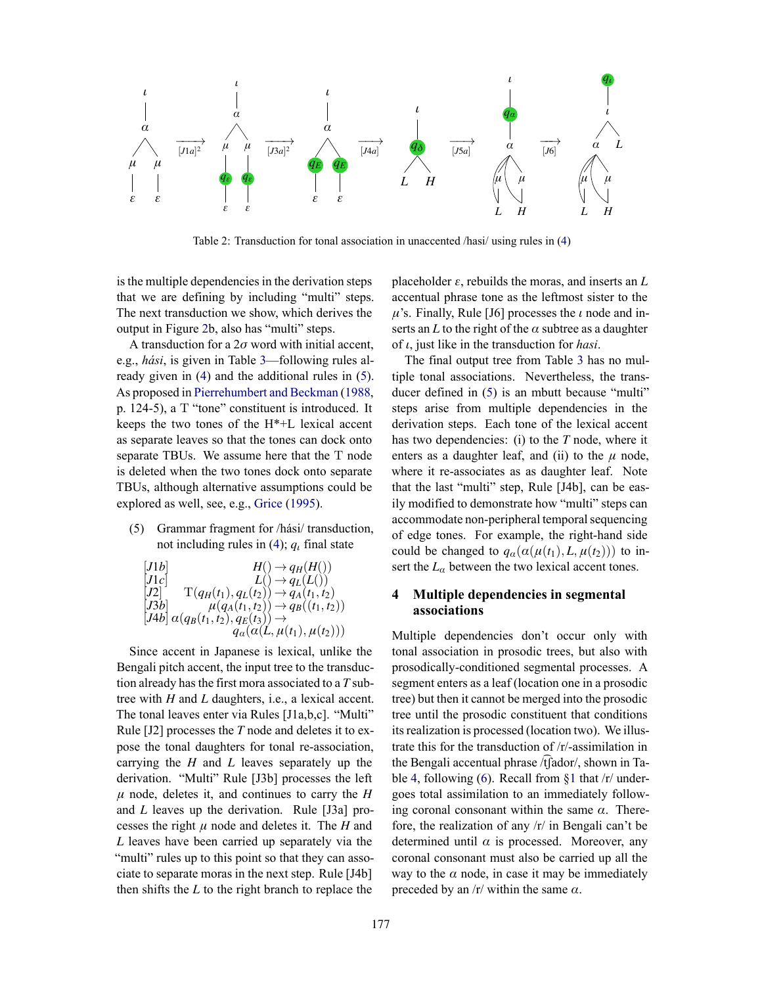

Table 2: Transduction for tonal association in unaccented /hasi/ using rules in (4)

is the multiple dependencies in the derivation steps that we are defining by including "multi" steps. The next transduction we show, which derives the output in Figure 2b, also has "multi" steps.

A transduction for a 2*σ* word with initial accent, e.g., *hási*, is given in Table 3—following rules already given in (4) and the additional rules in (5). As proposed in Pierrehumbert and Beckman (1988, p. 124-5), a T "tone" constituent is introduced. It keeps the two tones of the H\*+L lexical accent as separate leaves so that the tones can dock onto separate TBUs. We assume here that the T node is deleted when the two tones dock onto separate TBUs, although alternative assumptions could be explored as well, see, e.g., Grice (1995).

(5) Grammar fragment for /hási/ transduction, not including rules in (4); *q<sup>ι</sup>* final state

$$
\begin{array}{ll}\n[J1b] & H() \to q_H(H()) \\
[J1c] & L() \to q_L(L()) \\
[J2] & T(q_H(t_1), q_L(t_2)) \to q_A(t_1, t_2) \\
[J3b] & \mu(q_A(t_1, t_2)) \to q_B((t_1, t_2)) \\
[J4b] & \alpha(q_B(t_1, t_2), q_E(t_3)) \to \\
&q_a(\alpha(L, \mu(t_1), \mu(t_2)))\n\end{array}
$$

Since accent in Japanese is lexical, unlike the Bengali pitch accent, the input tree to the transduction already has the first mora associated to a *T* subtree with *H* and *L* daughters, i.e., a lexical accent. The tonal leaves enter via Rules [J1a,b,c]. "Multi" Rule [J2] processes the *T* node and deletes it to expose the tonal daughters for tonal re-association, carrying the *H* and *L* leaves separately up the derivation. "Multi" Rule [J3b] processes the left  $\mu$  node, deletes it, and continues to carry the *H* and *L* leaves up the derivation. Rule [J3a] processes the right *μ* node and deletes it. The *H* and *L* leaves have been carried up separately via the "multi" rules up to this point so that they can associate to separate moras in the next step. Rule [J4b] then shifts the *L* to the right branch to replace the placeholder  $\varepsilon$ , rebuilds the moras, and inserts an  $L$ accentual phrase tone as the leftmost sister to the *μ*'s. Finally, Rule [J6] processes the *ι* node and inserts an  $L$  to the right of the  $\alpha$  subtree as a daughter of *ι*, just like in the transduction for *hasi*.

The final output tree from Table 3 has no multiple tonal associations. Nevertheless, the transducer defined in (5) is an mbutt because "multi" steps arise from multiple dependencies in the derivation steps. Each tone of the lexical accent has two dependencies: (i) to the *T* node, where it enters as a daughter leaf, and (ii) to the  $\mu$  node, where it re-associates as as daughter leaf. Note that the last "multi" step, Rule [J4b], can be easily modified to demonstrate how "multi" steps can accommodate non-peripheral temporal sequencing of edge tones. For example, the right-hand side could be changed to  $q_\alpha(\alpha(\mu(t_1), L, \mu(t_2)))$  to insert the  $L_\alpha$  between the two lexical accent tones.

### **4 Multiple dependencies in segmental associations**

Multiple dependencies don't occur only with tonal association in prosodic trees, but also with prosodically-conditioned segmental processes. A segment enters as a leaf (location one in a prosodic tree) but then it cannot be merged into the prosodic tree until the prosodic constituent that conditions its realization is processed (location two). We illustrate this for the transduction of /r/-assimilation in the Bengali accentual phrase /t͡ʃador/, shown in Table 4, following (6). Recall from  $\S1$  that /r/ undergoes total assimilation to an immediately following coronal consonant within the same  $\alpha$ . Therefore, the realization of any /r/ in Bengali can't be determined until *α* is processed. Moreover, any coronal consonant must also be carried up all the way to the  $\alpha$  node, in case it may be immediately preceded by an  $/r$  within the same  $\alpha$ .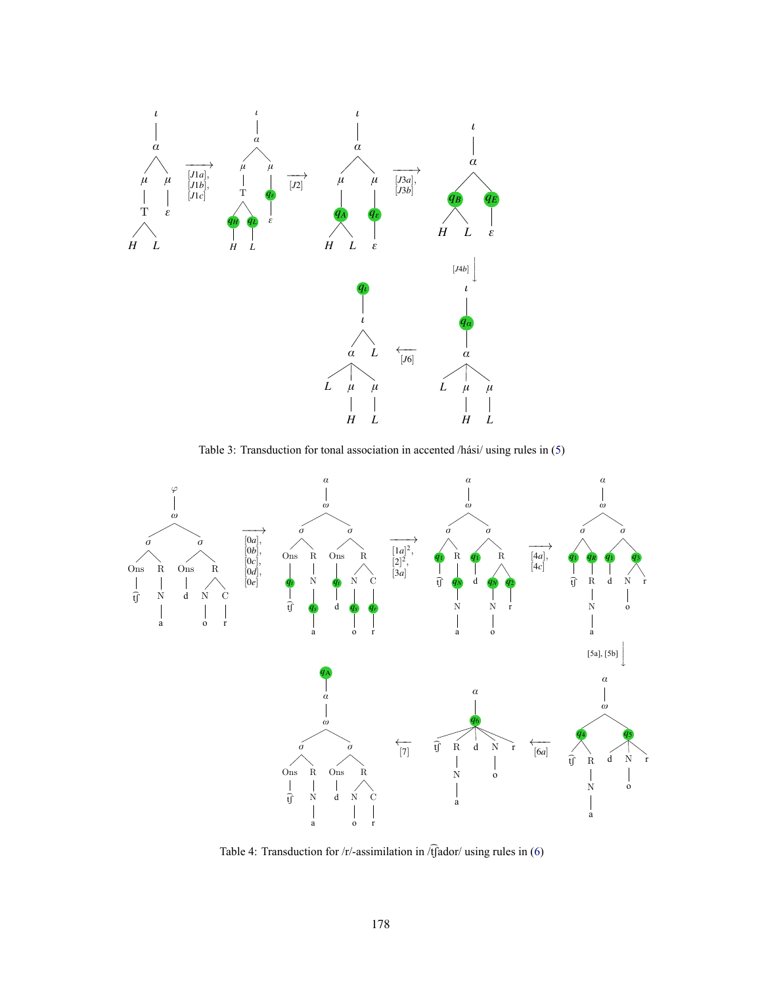

Table 3: Transduction for tonal association in accented /hási/ using rules in (5)



Table 4: Transduction for /r/-assimilation in  $\sqrt{t}$  ador/ using rules in (6)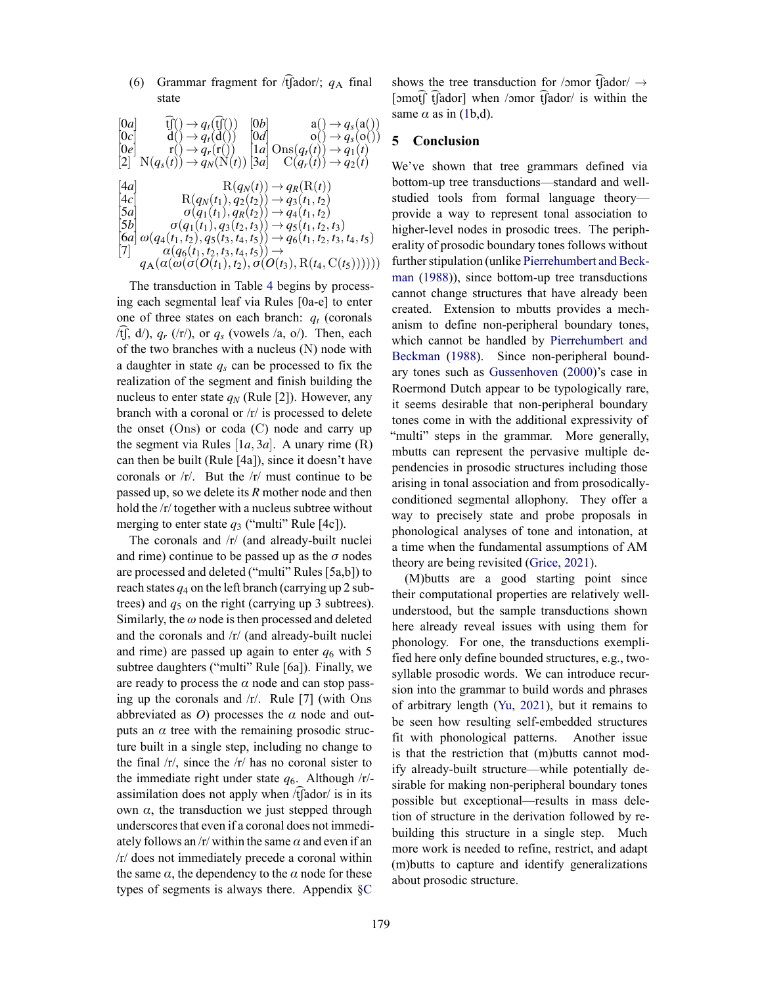(6) Grammar fragment for /t͡ʃador/; *q*<sup>Α</sup> final state

 $[0a]$   $\widehat{tf}(\lambda) \rightarrow q_t(\widehat{tf}(\lambda))$   $[0b]$   $a(\lambda) \rightarrow q_s(a(\lambda))$  $[0c]$  d()  $\rightarrow$  *q<sub>t</sub>*(d())  $[0d]$  o()  $\rightarrow$  *q<sub>s</sub>*(o())  $[0a]$   $\widehat{f}((\cdot) \rightarrow q_t(\widehat{f}((\cdot)))$   $[0b]$   $a(\cdot) \rightarrow q_s(a(\cdot))$ <br>  $[0e]$   $r(\cdot) \rightarrow q_r(r(\cdot))$   $[1a]$  Ons $(q_t(t) \rightarrow q_1(t))$ <br>  $[2]$   $N(q_s(t)) \rightarrow q_N(N(t))$   $[3a]$   $C(q_r(t)) \rightarrow q_2(t)$  $N(q_s(t)) \rightarrow q_N(\tilde{N}(t))$ [3*a*]  $\text{R}(q_N(t)) \to q_R(\text{R}(t))$  $\text{R}(q_N(t_1), q_2(t_2)) \rightarrow q_3(t_1, t_2)$  $\sigma(q_1(t_1), q_R(t_2)) \rightarrow q_4(t_1, t_2)$  $\sigma(q_1(t_1), q_3(t_2, t_3)) \rightarrow q_5(t_1, t_2, t_3)$  $\left[\begin{matrix} 6a \end{matrix}\right] \omega(q_4(t_1, t_2), q_5(t_3, t_4, t_5)) \rightarrow q_6(t_1, t_2, t_3, t_4, t_5)$  $\alpha(q_6(t_1, t_2, t_3, t_4, t_5)) \rightarrow$  $q_A(a(\omega(\sigma(O(t_1), t_2), \sigma(O(t_3), R(t_4, C(t_5))))))$ 

The transduction in Table 4 begins by processing each segmental leaf via Rules [0a-e] to enter one of three states on each branch: *q<sup>t</sup>* (coronals /tʃ, d/),  $q_r$  (/r/), or  $q_s$  (vowels /a, o/). Then, each of the two branches with a nucleus (N) node with a daughter in state *q<sup>s</sup>* can be processed to fix the realization of the segment and finish building the nucleus to enter state  $q_N$  (Rule [2]). However, any branch with a coronal or  $/r/$  is processed to delete the onset (Ons) or coda (C) node and carry up the segment via Rules  $[1a, 3a]$ . A unary rime  $(R)$ can then be built (Rule [4a]), since it doesn't have coronals or /r/. But the /r/ must continue to be passed up, so we delete its *R* mother node and then hold the /r/ together with a nucleus subtree without merging to enter state  $q_3$  ("multi" Rule [4c]).

The coronals and /r/ (and already-built nuclei and rime) continue to be passed up as the  $\sigma$  nodes are processed and deleted ("multi" Rules [5a,b]) to reach states  $q_4$  on the left branch (carrying up 2 subtrees) and  $q_5$  on the right (carrying up 3 subtrees). Similarly, the *ω* node is then processed and deleted and the coronals and /r/ (and already-built nuclei and rime) are passed up again to enter  $q_6$  with 5 subtree daughters ("multi" Rule [6a]). Finally, we are ready to process the  $\alpha$  node and can stop passing up the coronals and /r/. Rule [7] (with Ons abbreviated as *O*) processes the  $\alpha$  node and outputs an  $\alpha$  tree with the remaining prosodic structure built in a single step, including no change to the final  $\frac{r}{r}$ , since the  $\frac{r}{r}$  has no coronal sister to the immediate right under state  $q_6$ . Although  $/r$ assimilation does not apply when  $\sqrt{t}$  ador/ is in its own *α*, the transduction we just stepped through underscores that even if a coronal does not immediately follows an /r/ within the same  $\alpha$  and even if an /r/ does not immediately precede a coronal within the same  $\alpha$ , the dependency to the  $\alpha$  node for these types of segments is always there. Appendix §C

shows the tree transduction for /ɔmor t͡ʃador/  $\rightarrow$ [ɔmot͡ʃ t͡ʃador] when /ɔmor t͡ʃador/ is within the same  $\alpha$  as in (1b,d).

#### **5 Conclusion**

We've shown that tree grammars defined via bottom-up tree transductions—standard and wellstudied tools from formal language theory provide a way to represent tonal association to higher-level nodes in prosodic trees. The peripherality of prosodic boundary tones follows without further stipulation (unlike Pierrehumbert and Beckman (1988)), since bottom-up tree transductions cannot change structures that have already been created. Extension to mbutts provides a mechanism to define non-peripheral boundary tones, which cannot be handled by Pierrehumbert and Beckman (1988). Since non-peripheral boundary tones such as Gussenhoven (2000)'s case in Roermond Dutch appear to be typologically rare, it seems desirable that non-peripheral boundary tones come in with the additional expressivity of "multi" steps in the grammar. More generally, mbutts can represent the pervasive multiple dependencies in prosodic structures including those arising in tonal association and from prosodicallyconditioned segmental allophony. They offer a way to precisely state and probe proposals in phonological analyses of tone and intonation, at a time when the fundamental assumptions of AM theory are being revisited (Grice, 2021).

(M)butts are a good starting point since their computational properties are relatively wellunderstood, but the sample transductions shown here already reveal issues with using them for phonology. For one, the transductions exemplified here only define bounded structures, e.g., twosyllable prosodic words. We can introduce recursion into the grammar to build words and phrases of arbitrary length (Yu, 2021), but it remains to be seen how resulting self-embedded structures fit with phonological patterns. Another issue is that the restriction that (m)butts cannot modify already-built structure—while potentially desirable for making non-peripheral boundary tones possible but exceptional—results in mass deletion of structure in the derivation followed by rebuilding this structure in a single step. Much more work is needed to refine, restrict, and adapt (m)butts to capture and identify generalizations about prosodic structure.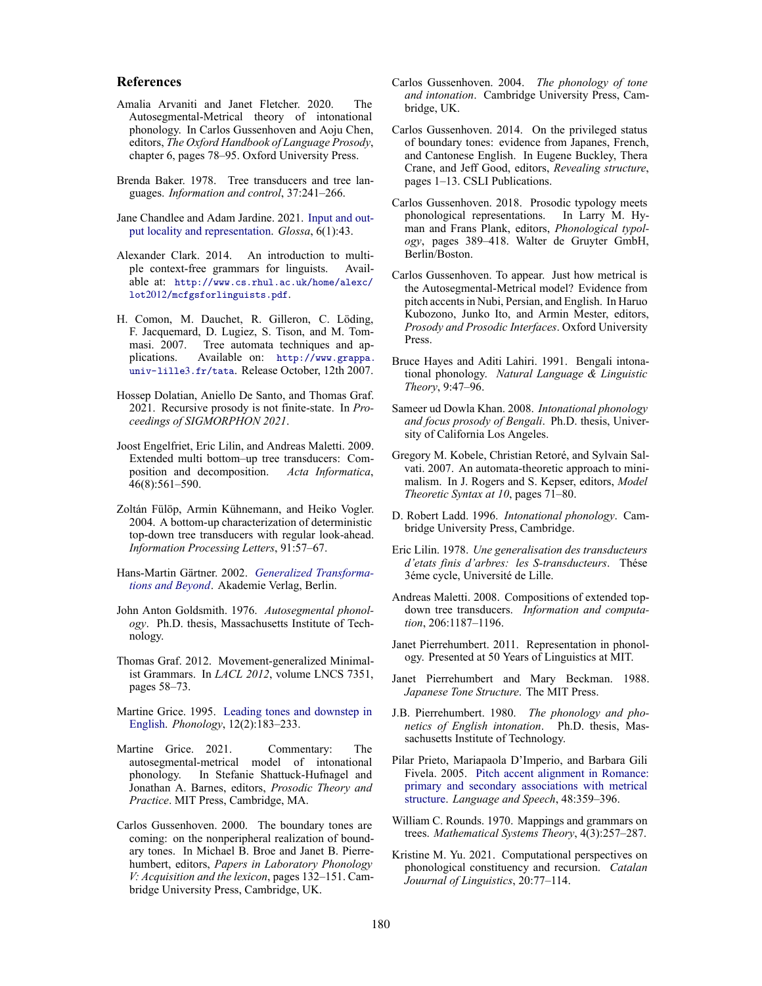#### **References**

- Amalia Arvaniti and Janet Fletcher. 2020. The Autosegmental-Metrical theory of intonational phonology. In Carlos Gussenhoven and Aoju Chen, editors, *The Oxford Handbook of Language Prosody*, chapter 6, pages 78–95. Oxford University Press.
- Brenda Baker. 1978. Tree transducers and tree languages. *Information and control*, 37:241–266.
- Jane Chandlee and Adam Jardine. 2021. Input and output locality and representation. *Glossa*, 6(1):43.
- Alexander Clark. 2014. An introduction to multiple context-free grammars for linguists. Available at: http://www.cs.rhul.ac.uk/home/alexc/ lot2012/mcfgsforlinguists.pdf.
- H. Comon, M. Dauchet, R. Gilleron, C. Löding, F. Jacquemard, D. Lugiez, S. Tison, and M. Tommasi. 2007. Tree automata techniques and applications. Available on: http://www.grappa. univ-lille3.fr/tata. Release October, 12th 2007.
- Hossep Dolatian, Aniello De Santo, and Thomas Graf. 2021. Recursive prosody is not finite-state. In *Proceedings of SIGMORPHON 2021*.
- Joost Engelfriet, Eric Lilin, and Andreas Maletti. 2009. Extended multi bottom–up tree transducers: Composition and decomposition. *Acta Informatica*, 46(8):561–590.
- Zoltán Fülöp, Armin Kühnemann, and Heiko Vogler. 2004. A bottom-up characterization of deterministic top-down tree transducers with regular look-ahead. *Information Processing Letters*, 91:57–67.
- Hans-Martin Gärtner. 2002. *Generalized Transformations and Beyond*. Akademie Verlag, Berlin.
- John Anton Goldsmith. 1976. *Autosegmental phonology*. Ph.D. thesis, Massachusetts Institute of Technology.
- Thomas Graf. 2012. Movement-generalized Minimalist Grammars. In *LACL 2012*, volume LNCS 7351, pages 58–73.
- Martine Grice. 1995. Leading tones and downstep in English. *Phonology*, 12(2):183–233.
- Martine Grice. 2021. Commentary: The autosegmental-metrical model of intonational phonology. In Stefanie Shattuck-Hufnagel and Jonathan A. Barnes, editors, *Prosodic Theory and Practice*. MIT Press, Cambridge, MA.
- Carlos Gussenhoven. 2000. The boundary tones are coming: on the nonperipheral realization of boundary tones. In Michael B. Broe and Janet B. Pierrehumbert, editors, *Papers in Laboratory Phonology V: Acquisition and the lexicon*, pages 132–151. Cambridge University Press, Cambridge, UK.
- Carlos Gussenhoven. 2004. *The phonology of tone and intonation*. Cambridge University Press, Cambridge, UK.
- Carlos Gussenhoven. 2014. On the privileged status of boundary tones: evidence from Japanes, French, and Cantonese English. In Eugene Buckley, Thera Crane, and Jeff Good, editors, *Revealing structure*, pages 1–13. CSLI Publications.
- Carlos Gussenhoven. 2018. Prosodic typology meets phonological representations. In Larry M. Hyman and Frans Plank, editors, *Phonological typology*, pages 389–418. Walter de Gruyter GmbH, Berlin/Boston.
- Carlos Gussenhoven. To appear. Just how metrical is the Autosegmental-Metrical model? Evidence from pitch accents in Nubi, Persian, and English. In Haruo Kubozono, Junko Ito, and Armin Mester, editors, *Prosody and Prosodic Interfaces*. Oxford University Press.
- Bruce Hayes and Aditi Lahiri. 1991. Bengali intonational phonology. *Natural Language & Linguistic Theory*, 9:47–96.
- Sameer ud Dowla Khan. 2008. *Intonational phonology and focus prosody of Bengali*. Ph.D. thesis, University of California Los Angeles.
- Gregory M. Kobele, Christian Retoré, and Sylvain Salvati. 2007. An automata-theoretic approach to minimalism. In J. Rogers and S. Kepser, editors, *Model Theoretic Syntax at 10*, pages 71–80.
- D. Robert Ladd. 1996. *Intonational phonology*. Cambridge University Press, Cambridge.
- Eric Lilin. 1978. *Une generalisation des transducteurs d'etats finis d'arbres: les S-transducteurs*. Thése 3éme cycle, Université de Lille.
- Andreas Maletti. 2008. Compositions of extended topdown tree transducers. *Information and computation*, 206:1187–1196.
- Janet Pierrehumbert. 2011. Representation in phonology. Presented at 50 Years of Linguistics at MIT.
- Janet Pierrehumbert and Mary Beckman. 1988. *Japanese Tone Structure*. The MIT Press.
- J.B. Pierrehumbert. 1980. *The phonology and phonetics of English intonation*. Ph.D. thesis, Massachusetts Institute of Technology.
- Pilar Prieto, Mariapaola D'Imperio, and Barbara Gili Fivela. 2005. Pitch accent alignment in Romance: primary and secondary associations with metrical structure. *Language and Speech*, 48:359–396.
- William C. Rounds. 1970. Mappings and grammars on trees. *Mathematical Systems Theory*, 4(3):257–287.
- Kristine M. Yu. 2021. Computational perspectives on phonological constituency and recursion. *Catalan Jouurnal of Linguistics*, 20:77–114.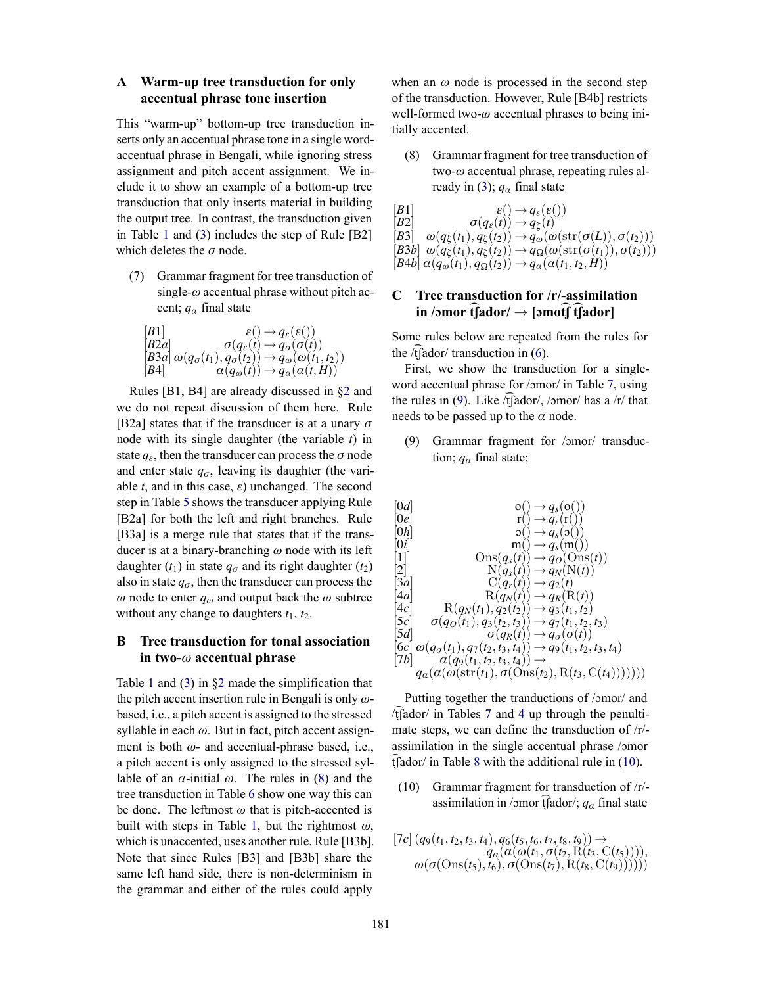### **A Warm-up tree transduction for only accentual phrase tone insertion**

This "warm-up" bottom-up tree transduction inserts only an accentual phrase tone in a single wordaccentual phrase in Bengali, while ignoring stress assignment and pitch accent assignment. We include it to show an example of a bottom-up tree transduction that only inserts material in building the output tree. In contrast, the transduction given in Table 1 and (3) includes the step of Rule [B2] which deletes the *σ* node.

(7) Grammar fragment for tree transduction of single-*ω* accentual phrase without pitch accent; *q<sup>α</sup>* final state

$$
\begin{array}{ll}\n[B1] & \varepsilon() \rightarrow q_{\varepsilon}(\varepsilon()) \\
[B2a] & \sigma(q_{\varepsilon}(t) \rightarrow q_{\sigma}(\sigma(t)) \\
[B3a] \omega(q_{\sigma}(t_1), q_{\sigma}(t_2)) \rightarrow q_{\omega}(\omega(t_1, t_2)) \\
[B4] & \alpha(q_{\omega}(t)) \rightarrow q_{\alpha}(\alpha(t, H))\n\end{array}
$$

Rules [B1, B4] are already discussed in §2 and we do not repeat discussion of them here. Rule [B2a] states that if the transducer is at a unary *σ* node with its single daughter (the variable *t*) in state  $q_{\varepsilon}$ , then the transducer can process the  $\sigma$  node and enter state  $q_\sigma$ , leaving its daughter (the variable *t*, and in this case, *ε*) unchanged. The second step in Table 5 shows the transducer applying Rule [B2a] for both the left and right branches. Rule [B3a] is a merge rule that states that if the transducer is at a binary-branching *ω* node with its left daughter  $(t_1)$  in state  $q_\sigma$  and its right daughter  $(t_2)$ also in state  $q_\sigma$ , then the transducer can process the *ω* node to enter *q<sup>ω</sup>* and output back the *ω* subtree without any change to daughters *t*1, *t*2.

#### **B Tree transduction for tonal association in two-***ω* **accentual phrase**

Table 1 and (3) in §2 made the simplification that the pitch accent insertion rule in Bengali is only *ω*based, i.e., a pitch accent is assigned to the stressed syllable in each *ω*. But in fact, pitch accent assignment is both *ω*- and accentual-phrase based, i.e., a pitch accent is only assigned to the stressed syllable of an  $\alpha$ -initial  $\omega$ . The rules in (8) and the tree transduction in Table 6 show one way this can be done. The leftmost *ω* that is pitch-accented is built with steps in Table 1, but the rightmost *ω*, which is unaccented, uses another rule, Rule [B3b]. Note that since Rules [B3] and [B3b] share the same left hand side, there is non-determinism in the grammar and either of the rules could apply when an  $\omega$  node is processed in the second step of the transduction. However, Rule [B4b] restricts well-formed two-*ω* accentual phrases to being initially accented.

(8) Grammar fragment for tree transduction of two-*ω* accentual phrase, repeating rules already in (3);  $q_\alpha$  final state

 $\begin{array}{cc} [B1] & \varepsilon \end{array} \longrightarrow q_{\varepsilon}(\varepsilon))$  $\sigma(q_{\varepsilon}(t)) \rightarrow q_{\zeta}(t)$  $\left[\begin{matrix} B3 \end{matrix}\right]$   $\omega(q_{\xi}(t_1), q_{\xi}(t_2)) \rightarrow q_{\omega}(\omega(\text{str}(\sigma(L)), \sigma(t_2)))$  $[B3b] \omega(q_{\xi}(t_1), q_{\xi}(t_2)) \rightarrow q_{\Omega}(\omega(\text{str}(\sigma(t_1)), \sigma(t_2)))$  $[B4b] \alpha(q_{\omega}(t_1), q_{\Omega}(t_2)) \rightarrow q_{\alpha}(\alpha(t_1, t_2, H))$ 

## **C Tree transduction for /r/-assimilation in /ɔmor t͡ʃador/** <sup>→</sup> **[ɔmot͡ʃ t͡ʃador]**

Some rules below are repeated from the rules for the  $/t$  $f$ ador $/t$  transduction in  $(6)$ .

First, we show the transduction for a singleword accentual phrase for /ɔmor/ in Table 7, using the rules in (9). Like  $/t$  [ador/, / $\sigma$ mor/ has a /r/ that needs to be passed up to the *α* node.

(9) Grammar fragment for /ɔmor/ transduction;  $q_\alpha$  final state;

$$
\begin{array}{ll}\n[0d] & o() \rightarrow q_s(o()) \\
[0e] & r() \rightarrow q_r(r()) \\
[0h] & o() \rightarrow q_s(s()) \\
[0i] & m() \rightarrow q_s(m()) \\
[1] & \text{Ons}(q_s(t)) \rightarrow q_O(\text{Ons}(t)) \\
[2] & \text{N}(q_s(t)) \rightarrow q_N(\text{N}(t)) \\
[3a] & \text{C}(q_r(t)) \rightarrow q_2(t) \\
[4a] & \text{R}(q_N(t)) \rightarrow q_R(\text{R}(t)) \\
[4c] & \text{R}(q_N(t), q_2(t_2)) \rightarrow q_3(t_1, t_2) \\
[5c] & \sigma(q_O(t_1), q_3(t_2, t_3)) \rightarrow q_7(t_1, t_2, t_3) \\
[5d] & \sigma(q_R(t)) \rightarrow q_O(\sigma(t)) \\
[6c] & \omega(q_\sigma(t_1), q_7(t_2, t_3, t_4)) \rightarrow q_9(t_1, t_2, t_3, t_4) \\
[7b] & a(q_9(t_1, t_2, t_3, t_4)) \rightarrow \\
q_a(\alpha(\omega(\text{str}(t_1), \sigma(\text{Ons}(t_2), \text{R}(t_3, \text{C}(t_4))))))))\n\end{array}
$$

Putting together the tranductions of /ɔmor/ and  $/t$ [ador/ in Tables 7 and 4 up through the penultimate steps, we can define the transduction of /r/ assimilation in the single accentual phrase /ɔmor  $t$ [ador/ in Table 8 with the additional rule in  $(10)$ .

- (10) Grammar fragment for transduction of /r/ assimilation in /ɔmor t͡ʃador/; *q<sup>α</sup>* final state
- $[7c](q_9(t_1, t_2, t_3, t_4), q_6(t_5, t_6, t_7, t_8, t_9)) \rightarrow$ *qα*(*α*(*ω*(*t*1, *σ*(*t*2, R(*t*3, C(*t*5)))), *ω*(*σ*(Ons(*t*5), *t*6), *σ*(Ons(*t*7), R(*t*8, C(*t*9))))))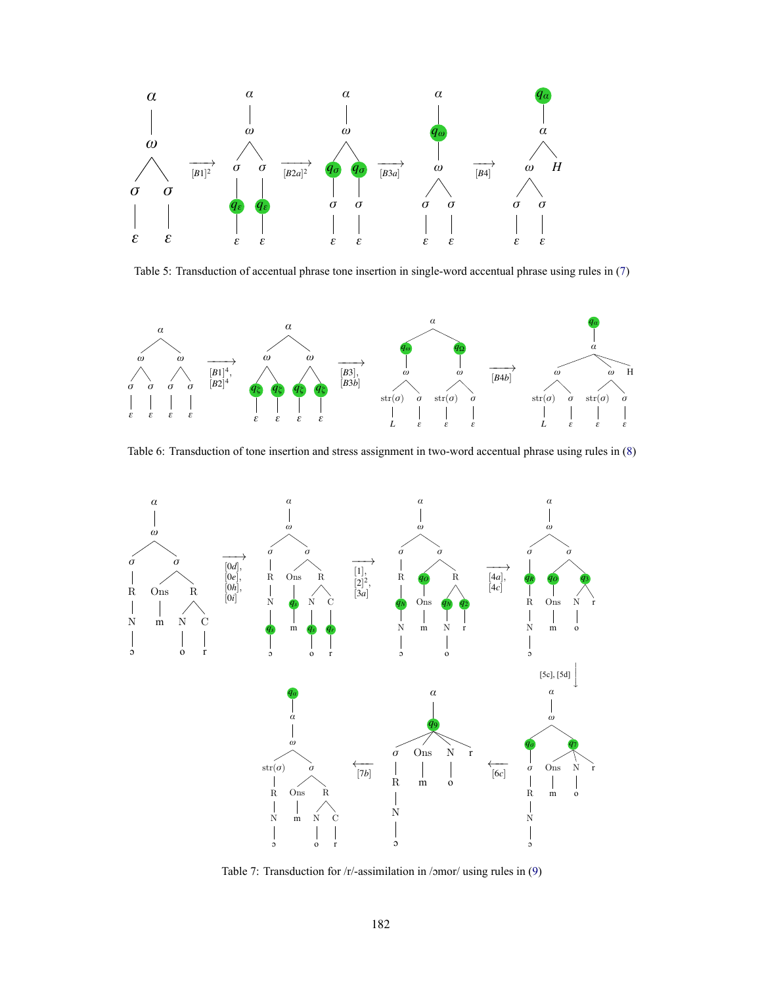

Table 5: Transduction of accentual phrase tone insertion in single-word accentual phrase using rules in (7)



Table 6: Transduction of tone insertion and stress assignment in two-word accentual phrase using rules in (8)



Table 7: Transduction for /r/-assimilation in /ɔmor/ using rules in (9)